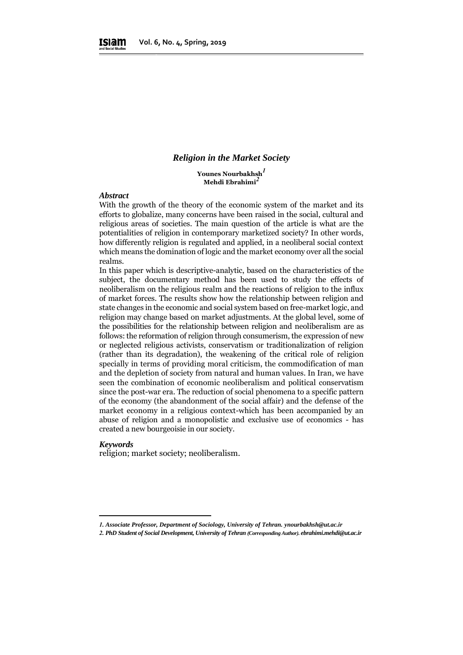#### *Religion in the Market Society*

**Younes Nourbakhsh***<sup>1</sup>* **Mehdi Ebrahimi***<sup>2</sup>*

#### *Abstract*

With the growth of the theory of the economic system of the market and its efforts to globalize, many concerns have been raised in the social, cultural and religious areas of societies. The main question of the article is what are the potentialities of religion in contemporary marketized society? In other words, how differently religion is regulated and applied, in a neoliberal social context which means the domination of logic and the market economy over all the social realms.

In this paper which is descriptive-analytic, based on the characteristics of the subject, the documentary method has been used to study the effects of neoliberalism on the religious realm and the reactions of religion to the influx of market forces. The results show how the relationship between religion and state changes in the economic and social system based on free-market logic, and religion may change based on market adjustments. At the global level, some of the possibilities for the relationship between religion and neoliberalism are as follows: the reformation of religion through consumerism, the expression of new or neglected religious activists, conservatism or traditionalization of religion (rather than its degradation), the weakening of the critical role of religion specially in terms of providing moral criticism, the commodification of man and the depletion of society from natural and human values. In Iran, we have seen the combination of economic neoliberalism and political conservatism since the post-war era. The reduction of social phenomena to a specific pattern of the economy (the abandonment of the social affair) and the defense of the market economy in a religious context-which has been accompanied by an abuse of religion and a monopolistic and exclusive use of economics - has created a new bourgeoisie in our society.

#### *Keywords*

1

religion; market society; neoliberalism.

*<sup>1.</sup> Associate Professor, Department of Sociology, University of Tehran. ynourbakhsh@ut.ac.ir*

*<sup>2.</sup> PhD Student of Social Development, University of Tehran (Corresponding Author). ebrahimi.mehdi@ut.ac.ir*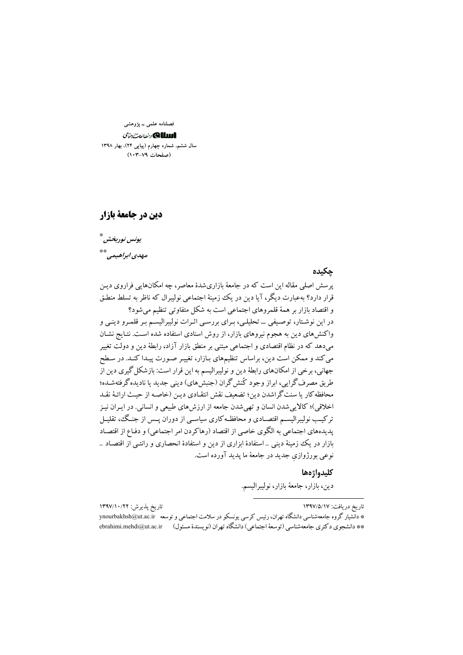فصلنامه علمی ــ پژوهشی

# الللكا ونطالعت جتأى

سال ششم، شماره چهارم (پیاپی ۲۴)، بهار ۱۳۹۸ (صفحات ٧٩-١٠٣)

دین در جامعهٔ بازار

تاريخ يذيرش: ١٣٩٧/١٠/٢٢

يونس نوربخش\* مهدي ابراهيمي \*\*

#### حكىدە

یر سش اصلی مقاله این است که در جامعهٔ بازاری شدهٔ معاصر، چه امکانهایی فراروی دین قرار دارد؟ بهعبارت دیگر، آیا دین در یک زمینهٔ اجتماعی نولیبرال که ناظر به تسلط منطـق و اقتصاد بازار بر همهٔ قلمروهای اجتماعی است به شکل متفاوتی تنظیم میشود؟ در این نوشتار، توصیفی ــ تحلیلی، بـرای بررسی اثـرات نولیبرالیسـم بـر قلمـرو دینـی و واکنشهای دین به هجوم نیروهای بازار، از روش اسنادی استفاده شده است. نتـایج نشـان می دهد که در نظام اقتصادی و اجتماعی مبتنی بر منطق بازار آزاد، رابطهٔ دین و دولت تغییر می کند و ممکن است دین، براساس تنظیمهای بـازار، تغییـر صـورت پیـدا کنـد. در سـطح جهانی، برخی از امکانهای رابطهٔ دین و نولیبرالیسم به این قرار است: بازشکل گیری دین از طریق مصرف گرایی، ابراز وجود کُنش گران (جنبشهای) دینی جدید یا نادیده گرفتهشده؛ محافظه کار یا سنت گراشدن دین؛ تضعیف نقش انتقـادی دیـن (خاصـه از حیـث ارائـهٔ نقـد اخلاقی)؛ کالابی شدن انسان و تھی شدن جامعه از ارزش های طبیعی و انسانی. در ایـران نیـز ترکیب نولیبرالیسـم اقتصـادی و محافظـه کاری سیاسـی از دوران پــس از جنـگ، تقلیــل یدیدههای اجتماعی به الگوی خاصی از اقتصاد (رهاکردن امر اجتماعی) و دفـاع از اقتصـاد بازار در یک زمینهٔ دینی \_استفادهٔ ابزاری از دین و استفادهٔ انحصاری و رانتـی از اقتصـاد \_ نوعي بورژوازي جديد در جامعهٔ ما يديد آورده است.

#### كليدواژهها

دين، بازار، جامعهٔ بازار، نوليبراليسم.

تاریخ دریافت: ۱۳۹۷/۵/۱۷

\* دانشبار گروه جامعهشناسی دانشگاه تهران، رئیس کر سی یونسکو در سلامت اجتماعی و توسعه ynourbakhsh@ut.ac.ir \*\* دانشجوي دكتري جامعهشناسي (توسعهٔ اجتماعي) دانشگاه تهران (نويسندهٔ مسئول) ebrahimi.mehdi@ut.ac.ir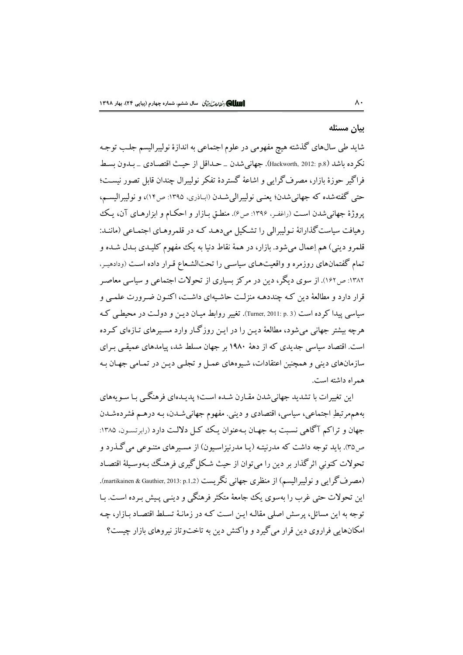#### بيان مسئله

شاید طی سالهای گذشته هیچ مفهومی در علوم اجتماعی به اندازهٔ نولیبرالیسم جلب توجـه نكرده باشد (Packworth, 2012: p.8). جهاني شدن \_ حـداقل از حيـث اقتصـادي \_ بـدون بسـط فراگیر جوزهٔ مازار، مصرف گرایی و اشاعهٔ گستردهٔ تفکر نولیبرال چندان قابل تصور نیست؛ حتى گفتهشده كه جهاني شدن؛ يعنبي نوليبرالي شـدن (ابـاذري، ١٣٩٥: ص١٢)، و نوليبراليسـم، یروژهٔ جهانی شدن است (راغفـر، ۱۳۹۶: ص۶). منطـق بـازار و احکـام و ابزارهـای آن، یـک رهیافت سیاست گذارانهٔ نـولیبرالی را تشـکیل می دهـد کـه در قلمروهـای اجتمـاعی (ماننـد: قلمرو دینی) هم اِعمال میشود. بازار، در همهٔ نقاط دنیا به یک مفهوم کلیـدی بـدل شـده و تمام گفتمانهای روزمره و واقعیتهای سیاسی را تحتالشعاع قـرار داده اسـت (ودادهیـر، ۱۳۸۲: ص۱۶۲). از سوی دیگر، دین در مرکز بسیاری از تحولات اجتماعی و سیاسی معاصر .<br>قرار دارد و مطالعهٔ دین کـه چنددهـه منزلـت حاشـیهای داشـت، اکنـون ضـرورت علمـی و سیاسی پیدا کرده است (Turner, 2011: p. 3). تغییر روابط میـان دیـن و دولـت در محیطـی کـه هرچه پشتر جهانی می شود، مطالعهٔ دین را در این روز گیار وارد مسیرهای تیازهای کیرده است. اقتصاد سیاسی جدیدی که از دههٔ ۱۹۸۰ بر جهان مسلط شد، پیامدهای عمیقے ٍ برای سازمانهای دینی و همچنین اعتقادات، شبوههای عمـل و تجلـی دیـن در تمـامی جهـان بـه همراه داشته است.

این تغییرات با تشدید جهانی شدن مقـارن شـده اسـت؛ پدیـدهای فرهنگـم بـا سـو بههای بههمهم تبطِ اجتماعی، سیاسی، اقتصادی و دینی. مفهوم جهانیشـدن، بـه درهـم فشردهشـدن جهان و تراکم آگاهی نسبت به جهان بهعنوان یک کل دلالت دارد (رابرتسون، ۱۳۸۵: ص۵۳). باید توجه داشت که مدرنیته (یـا مدرنیزاسـیون) از مسـیرهای متنـوعی میگـذرد و تحولات کنونی اثر گذار پر دین را می توان از حیث شکل گیری فرهنگ بهوسیلهٔ اقتصاد (مصرف گرایبی و نولیبرالیسم) از منظری جهانبی نگریست (martikainen & Gauthier, 2013: p.1<sub>-2</sub>). این تحولات حتی غرب را بهسوی یک جامعهٔ متکثر فرهنگی و دینبی پیش بـرده اسـت. بـا توجه به این مسائل، پرسش اصلی مقالـه ایـن اسـت کـه در زمانـهٔ تسـلط اقتصـاد بـازار، چـه امکانهایی فراروی دین قرار می گیرد و واکنش دین به تاختوتاز نیروهای بازار چیست؟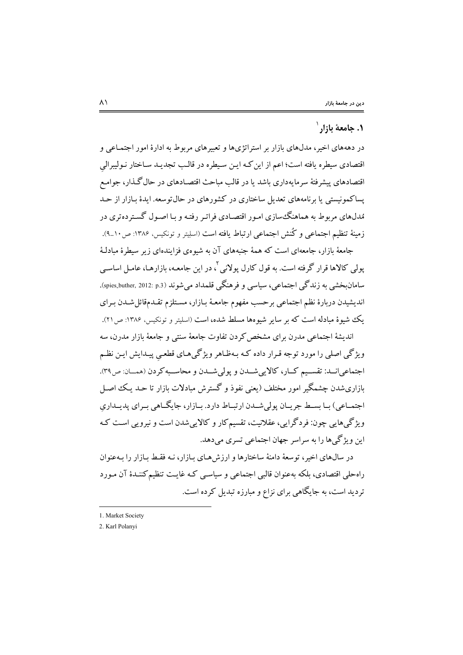# ۱. جامعهٔ بازار<sup>۱</sup>

در دهههای اخیر، مدلهای بازار بر استراتژیها و تعبیرهای مربوط به ادارهٔ امور اجتمـاعی و اقتصادی سیطره یافته است؛ اعم از این کـه ایـن سـیطره در قالـب تجدیـد سـاختار نـولیبرالمی اقتصادهای پیشرفتهٔ سرمایهداری باشد یا در قالب مباحث اقتصـادهای در حال گـذار، جوامـع یساکمونیستی یا برنامههای تعدیل ساختاری در کشورهای در حال توسعه. ایدهٔ بـازار از حـد مُدلهای مربوط به هماهنگ سازی امـور اقتصـادی فراتـر رفتـه و بـا اصـول گسـتر دهتری در زمينهٔ تنظيم اجتماعي و ڭنش اجتماعي ارتباط يافته است (اسليتر و تونكيس، ۱۳۸۶: ص۱۰\_۹).

جامعهٔ بازار، جامعهای است که همهٔ جنبههای آن به شیوهی فزایندهای زیر سیطرهٔ مبادلـهٔ یولم <sub>،</sub> کالاها قرار گرفته است. به قول کارل پولان<sub>ی</sub> <sup>؟</sup>، در این جامعـه، بازارهـا، عامـل اساســی سامان خشب به زندگے اجتماعے ، سیاسے و فرهنگے قلمداد مے شوند (spies\_buther, 2012: p.3). انديشيدن دربارة نظم اجتماعي برحسب مفهوم جامعـهٔ بـازار، مسـتلزم تقـدمقائل شـدن بـراي بک شبوهٔ مبادله است که بر سایر شیوهها مسلط شده، است (اسلیتر و تونکیس، ۱۳۸۶: ص۲۱).

اندیشهٔ اجتماعی مدرن برای مشخص کردن تفاوت جامعهٔ سنتی و جامعهٔ بازار مدرن، سه ویژگی اصلی را مورد توجه قـرار داده کـه بـهظـاهر ویژگی&ای قطعـی پیـدایش ایـن نظـم اجتماعي انسد: تقسيم كبار، كالايي شبدن و يولي شبدن و محاسبه كردن (همسان: ص٣٩). بازاری شدن چشمگیر امور مختلف (یعنی نفوذ و گسترش مبادلات بازار تا حـد یـک اصـل اجتمـاعي) سا بسـط جريــان يولي شــدن ارتسـاط دارد. سازار، جايگــاهي سراي پديــداري ویژگی هایی چون: فردگرایی، عقلانیت، تقسیم کار و کالاییشدن است و نیرویی است ک این ویژ گے ها را به سراسر جهان اجتماعی تسری مے دهد.

در سال@ای اخیر، توسعهٔ دامنهٔ ساختارها و ارزشهای بـازار، نـه فقـط بـازار را بـهعنوان راه حلی اقتصادی، بلکه به عنوان قالبی اجتماعی و سیاسبی کـه غایـت تنظیم کننـدهٔ آن مـورد تردید است، به جایگاهی برای نزاع و مبارزه تبدیل کرده است.

<sup>1.</sup> Market Society

<sup>2.</sup> Karl Polanvi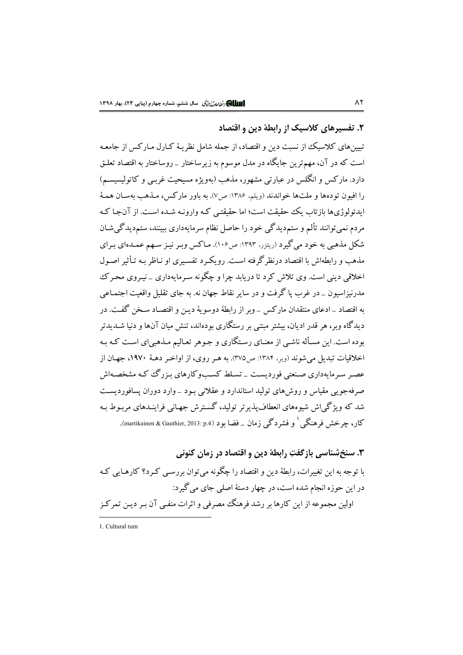# ۲. تفسیرهای کلاسیک از رابطهٔ دین و اقتصاد

تبیینهای کلاسیک از نسبت دین و اقتصاد، از جمله شامل نظریـهٔ کـارل مـارکس از جامعـه است که در آن، مهمترین جایگاه در مدل موسوم به زیرساختار \_ روساختار به اقتصاد تعلـق دارد. مارکس و انگلس در عبارتبی مشهور، مذهب (بهویژه مسیحیت غرببی و کاتولیسیسم) را افيون تودهها و ملتها خواندند (ويلم، ١٣٨۶: ص٧). به باور ماركس، مـذهب بهسـان همـهٔ ابدئولوژیها باز تاب یک حقیقت است؛ اما حقیقتبی کـه وارونـه شـده اسـت. از آنجـا کـه مردم نمی توانند تألم و ستمدیدگی خود را حاصل نظام سرمایهداری ببینند، ستمدیدگی شـان شکل مذهبی به خود می گیرد (ریتزر، ۱۳۹۳: ص۱۰۶). مـاکس وبـر نیـز سـهم عمـدهای بـرای مذهب و رابطهاش با اقتصاد درنظر گرفته است. رویک د تفسیری او نیاظ بیه تبأثیر اصبول اخلاقی دینی است. وی تلاش کرد تا در باید چرا و چگونه سرمایهداری - نیروی محرک مدرنیزاسیون \_ در غرب یا گرفت و در سایر نقاط جهان نه. به جای تقلیل واقعیت اجتمـاعی به اقتصاد \_ادعاى منتقدان ماركس \_ وبر از رابطهٔ دوسویهٔ دیـن و اقتصـاد سـخن گفـت. در دیدگاه وبر، هر قدر ادیان، بیشتر مبتنی بر رستگاری بودهاند، تنش میان آنها و دنیا شـدیدتر بوده است. این مسأله ناشبی از معنـای رسـتگاری و جـوهر تعـالیم مـذهبی|ی اسـت کـه بـه اخلاقيات تبديل مي شوند (وبر، ١٣٨۴: ص٣٧٥). به هـر روى، از اواخـر دهـهٔ ١٩٧٠، جهـان از عصر سرمایهداری صنعتی فوردیست \_ تسلط کسبوکارهای بـزرگ کـه مشخصـهاش صرفهجویی مقیاس و روش های تولید استاندارد و عقلانی بود \_ وارد دوران پسافوردیست شد که ویژگی اش شیوههای انعطاف پذیر تر تولید، گسترش جهـانی فراینـدهای مربـوط بـه کار، جرخش فرهنگے <sup>(</sup> و فشردگے زمان \_ فضا بود (martikainen & Gauthier, 2013: p.4).

۳. سنخ شناسی بازگفتِ رابطهٔ دین و اقتصاد در زمان کنونی با توجه به اين تغييرات، رابطهٔ دين و اقتصاد را چگونه مي توان بررسـي كـرد؟ كارهـايي كـه در این حوزه انجام شده است، در چهار دستهٔ اصلی جای می گیرد: اولین مجموعه از این کارها بر رشد فرهنگ مصرفی و اثرات منفـی آن بـر دیـن تمرکـز

1. Cultural turn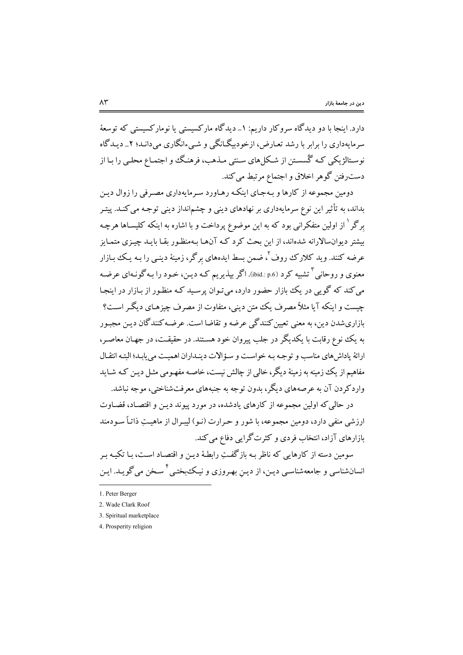دارد. اینجا با دو دیدگاه سروکار داریم: ۱\_ دیدگاه مارکسیستی یا نومارکسیستی که توسعهٔ سرمایهداری را برابر با رشد تعـارض، ازخودبیگـانگی و شـیءانگاری می دانـد؛ ۲\_ دیـدگاه نوسـتالژیکی کـه گُسسـتن از شـکلهای سـنتی مـذهب، فرهنـگ و اجتمـاع محلـی را بـا از دست٫فتن گوهر اخلاق و اجتماع مرتبط میکند.

دومین مجموعه از کارها و بـهجـای اینکـه رهـاورد سـرمایهداری مصـرفی را زوال دیـن بداند، به تأثیر این نوع سرمایهداری بر نهادهای دینی و چشمانداز دینی توجه می کنـد. پیتـر برگر<sup>۱</sup> از اولین متفکرانی بود که به این موضوع پرداخت و با اشاره به اینکه کلیسـاها هرچـه بیشتر دیوان سالارانه شدهاند، از این بحث کرد کـه آنهـا بـهمنظـور بقـا بایـد چیـزی متمـایز عرضه کنند. وید کلارک روف<sup>۲</sup>، ضمن بسط ایدههای برگر، زمینهٔ دینـی را بـه یـک بـازار معنوي و روحاني <sup>۳</sup> تشبيه کرد (ibid.: p.6). اگر بيذيريم کـه ديـن، خـود را بـه گونـهاي عرضـه می کند که گویی در یک بازار حضور دارد، می توان پرسید کـه منظـور از بـازار در اینجـا چیست و اینکه آیا مثلاً مصرف یک متن دینی، متفاوت از مصرف چیزهـای دیگـر اسـت؟ بازاري شدن دين، به معنى تعيين كنندگي عرضه و تقاضا است. عرضـه كنندگان ديـن مجـور به یک نوع رقابت با یکدیگر در جلب پیروان خود هستند. در حقیقت، در جهـان معاصـر، ارائهٔ یاداش های مناسب و توجه به خواست و سؤالات دینـداران اهمیـت می یابـد؛ البتـه انتقـال مفاهیم از یک زمینه به زمینهٔ دیگر، خالبی از چالش نیست، خاصـه مفهـومی مثـل دیـن کـه شــاید واردکر دن آن به عرصههای دیگر، بدون توجه به جنبههای معرفتشناختی، موجه نباشد.

در حالی که اولین مجموعه از کارهای یادشده، در مورد پیوند دیـن و اقتصـاد، قضـاوت ارزشی منفی دارد، دومین مجموعه، با شور و حـرارت (نـو) لیبـرال از ماهیـتِ ذاتـاً سـودمند بازارهای آزاد، انتخاب فردی و کثرتگرایی دفاع میکند.

سومین دسته از کارهایی که ناظر بـه بازگفـتِ رابطـهٔ دیـن و اقتصـاد اسـت، بـا تکیـه بـر انسانشناسي و جامعهشناسي ديـن، از ديـن بهـروزي و نيـكـُبختـي <sup>ا</sup> سـخن مي گويــد. ايـن

<sup>1.</sup> Peter Berger

<sup>2.</sup> Wade Clark Roof

<sup>3.</sup> Spiritual marketplace

<sup>4.</sup> Prosperity religion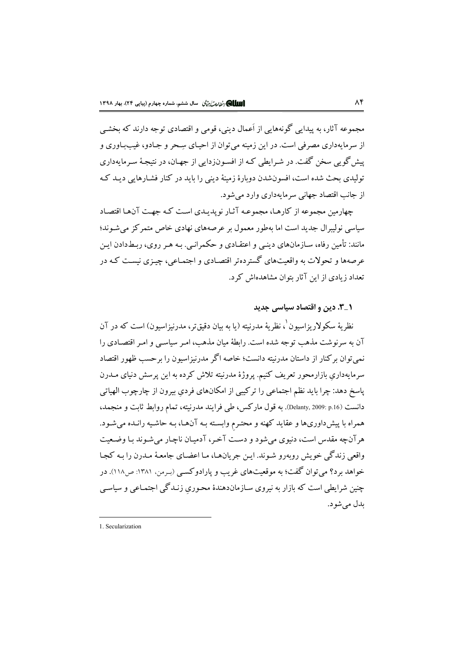مجموعه آثار، به يبدابي گونههايي از اَعمال ديني، قومي و اقتصادي توجه دارند كه بخشي از سرمایهداری مصرفی است. در این زمینه می توان از احیـای سِـحر و جـادو، غیب\_بـاوری و پیش گو پی سخن گفت. در شـرایطی کـه از افسـونزدایی از جهـان، در نتیجـهٔ سـرمایهداری تولیدی بحث شده است، افسون شدن دوبارهٔ زمینهٔ دینی را باید در کنار فشـارهایی دیـد کـه از جانب اقتصاد جهانی سرمایهداری وارد می شود.

جهارمین محموعه از کارهبا، محموعیه آثیار نویدیدی است کیه جهت آنهبا اقتصاد سیاسی نولیبرال جدید است اما بهطور معمول بر عرصههای نهادی خاص متمرکز می شـوند؛ مانند: تأمین رفاه، سـازمانهای دینـی و اعتقـادی و حکـمرانـی. بـه هـر روی، ربـطدادن ایـن عرصهها و تحولات به واقعیتهای گستردهتر اقتصادی و اجتمـاعی، چیـزی نیسـت کـه در تعداد زیادی از این آثار پتوان مشاهدهاش کرد.

## ۰\_۳. دین و اقتصاد سیاسی حدید

نظريهٔ سکولاريزاسيون ْ، نظريهٔ مدرنيته (يا به بيان دقيقتر، مدرنيزاسيون) است که در آن آن به سرنوشت مذهب توجه شده است. رابطهٔ میان مذهب، امیر سیاسبی و امیر اقتصادی را نمی توان برکنار از داستان مدرنیته دانست؛ خاصه اگر مدرنیزاسیون را برحسب ظهور اقتصاد سرمایهداری بازارمحور تعریف کنیم. یروژهٔ مدرنیته تلاش کرده به این پرسش دنیای مــدرن ياسخ دهد: چرا بايد نظم اجتماعي را تركيبي از امكانهاي فردي بيرون از چارچوب الهياتي دانست (pelanty, 2009: p.16). به قول ماركس، طي فرايند مدرنيته، تمام روابط ثابت و منجمد، همراه با پیش داوریها و عقاید کهنه و محتـرم وابسـته بـه آنهـا، بـه حاشـیه رانـده میشـود. هر آنچه مقدس است، دنبوی می شود و دست آخر، آدمیان ناچیار می شوند یا وضیعیت واقعے زندگی خویش روبەرو شـوند. ایـن جریان،هـا، مـا اعضـای جامعـهٔ مـدرن را بـه کجـا خواهد برد؟ مي توان گفت؛ به موقعيتهاي غريب و يارادوكسبي (بـرمن، ١٣٨١: ص١١٨). در چنین شرایطی است که بازار به نیروی سـازماندهندهٔ محـوری زنـدگی اجتمـاعی و سیاسـی بدل مي شود.

<sup>1.</sup> Secularization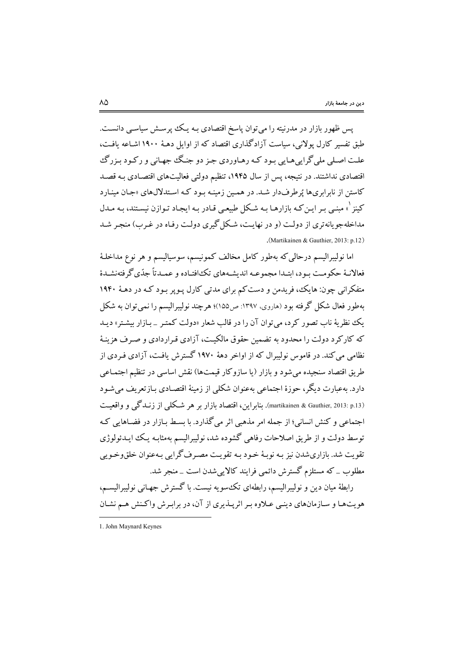پس ظهور بازار در مدرنیته را می توان پاسخ اقتصادی بـه یـک پرسـش سیاسـی دانسـت. طبق تفسیر کارل یولانی، سیاست آزادگذاری اقتصاد که از اوایل دهـهٔ ۱۹۰۰اشـاعه یافـت، علت اصلي ملي گرايي هـايي بـود كـه رهـاوردي جـز دو جنـگ جهـاني و ركـود بـزرگ اقتصادی نداشتند. در نتیجه، پس از سال ۱۹۴۵، تنظیم دولتی فعالیتهای اقتصـادی بـه قصـد کاستن از نابرابریها پُرطرفدار شد. در همین زمینه بود که استدلالهای «جان مینارد کینز <sup>۱</sup>» مبنبی بـر ایـن کـه بازارهـا بـه شـکل طبیعـی قـادر بـه ایجـاد تـوازن نیسـتند، بـه مـدل مداخلهجویانهتری از دولت (و در نهایت، شکل گیری دولت رفـاه در غـرب) منجـر شـد (Martikainen & Gauthier, 2013: p.12)

اما نولیبرالیسم درحالی که بهطور کامل مخالف کمونیسم، سوسیالیسم و هر نوع مداخلـهٔ فعالانـهٔ حکومـت بـود، ابتـدا مجموعـه انديشـههاي تکافتـاده و عمـدتاً جدّي گرفتهنشـدهٔ متفکرانی چون: هایک، فریدمن و دست کم برای مدتی کارل پـویر بـود کـه در دهـهٔ ۱۹۴۰ بهطور فعال شکل گرفته بود (هاروی، ۱۳۹۷: ص۱۵۵)؛ هرچند نولیبرالیسم را نمی توان به شکل .<br>یک نظریهٔ ناب تصور کرد، می توان آن را در قالب شعار «دولت کمتبر \_ بازار بیشتر» دیبد که کارکرد دولت را محدود به تضمین حقوق مالکیت، آزادی قـراردادی و صـرف هزینـهٔ نظامی می کند. در قاموس نولیبرال که از اواخر دههٔ ۱۹۷۰ گسترش یافت، آزادی فیردی از طريق اقتصاد سنجيده مي شود و بازار (يا سازوكار قيمتها) نقش اساسي در تنظيم اجتمـاعي دارد. بهعبارت دیگر، حوزهٔ اجتماعی بهعنوان شکلی از زمینهٔ اقتصادی بازتعریف می شـود (martikainen & Gauthier, 2013: p.13). بنابراين، اقتصاد بازار بر هر شكلي از زنـدگي و واقعيـت اجتماعی و کنش انسانی؛ از جمله امر مذهبی اثر می گذارد. با بسـط بـازار در فضـاهایی کـه توسط دولت و از طريق اصلاحات رفاهي گشوده شد، نوليبراليسم بهمثابـه يـك ايــدئولوژي تقويت شد. بازاري شدن نيز بـه نوبـهٔ خـود بـه تقويـت مصـرف گرايي بـهعنوان خلقووخـويي مطلوب \_ که مستلزم گسترش دائمي فرايند کالايي شدن است \_ منجر شد.

رابطهٔ میان دین و نولیبرالیسم، رابطهای تک سویه نیست. با گسترش جهـانی نولیبرالیسـم، هویتها و سازمانهای دینبی عـلاوه بـر اثرپـذیری از آن، در برابـرش واکـنش هـم نشـان

<sup>1.</sup> John Maynard Keynes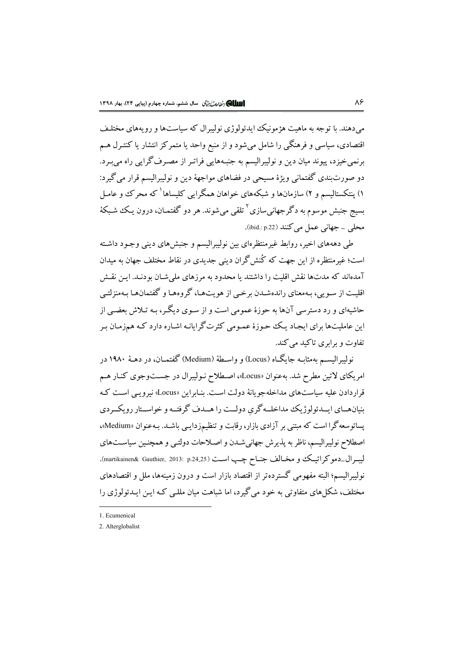مر دهند. يا توجه به ماهت هژمونيک ايدئولوژي نوليپرال که سياستها و رو بههاي مختليف اقتصادی، سیاسی و فرهنگی را شامل میشود و از منبع واحد یا متمرکز انتشار یا کنتـرل هـم برنمیخیزد، پیوند میان دین و نولیبرالیسم به جنبههایی فراتـر از مصـرف گرایبی راه میبـرد. دو صورتبندی گفتمانی ویژهٔ مسیحی در فضاهای مواجههٔ دین و نولیبرالیسم قرار میگیرد: ۱) پنتکستالیسم و ۲) سازمانها و شبکههای خواهان همگرایی کلیساها<sup>\</sup> که محرک و عامـل بسبج جنبش موسوم به دگر جهانی سازی<sup>۲</sup> تلقی می شوند. هر دو گفتمـان، درون یـک شـبکهٔ محلي \_ جهاني عمل مي كنند (ibid.: p.22).

طم دهههای اخیر، روابط غیرمنتظرهای بین نولیبرالیسم و جنبشهای دینی وجـود داشـته است؛ غیرمنتظره از این جهت که کُنش گران دینی جدیدی در نقاط مختلف جهان به میدان آمدهاند که مدتها نقش اقلبت را داشتند با محدود به مرزهای ملی شـان بودنـد. ایـن نقـش اقلیت از سـوبی، بـهمعنای راندهشـدن برخـی از هویتهـا، گروههـا و گفتمانهـا بـهمنزلتـی حاشبهای و رد دسترسی آنها به حوزهٔ عمومی است و از سـوی دیگـر، بـه تـلاش بعضـی از این عاملیتها برای ایجاد یک حوزهٔ عمـومی کثرتگرایانـه اشـاره دارد کـه همزمـان بـر تفاوت و برابری تاکید می کند.

نولسرالبســم بهمثابــه جابگــاه (Locus) و واســطهٔ (Medium) گفتمــان، در دهــهٔ ۱۹۸۰ در امریکای لاتین مطرح شد. بهعنوان «Locus»، اصطلاح نـولیبرال در جســتوجوی کنـار هـم قرار دادن علیه سیاستهای مداخله جو بانهٔ دولت است. بنـایراین «Locus» نیرویس اسـت کـه بنیان هسای ایسدئولوژیک مداخلسه گری دولــت را هــدف گرفتــه و خواســتار رویکــردی پساتوسعه گرا است که مبتنی بر آزادی بازار، رقابت و تنظیمزدایـی باشـد. بـهعنوان «Medium»، اصطلاح نولیبرالیسم، ناظر به پذیرش جهانیشـدن و اصـلاحات دولتـی و همچنـین سیاسـتهای ليبرال\_دموكراتيك و مخـالف جنـاح چـب اسـت (martikainen& Gauthier, 2013: p.24.25). نولیبرالیسم؛ البته مفهومی گستردهتر از اقتصاد بازار است و درون زمینهها، ملل و اقتصادهای مختلف، شکلهای متفاوتی به خود میگیرد، اما شباهت میان مللـی کـه ایـن ایــدئولوژی را

1. Ecumenical

<sup>2.</sup> Alterglobalist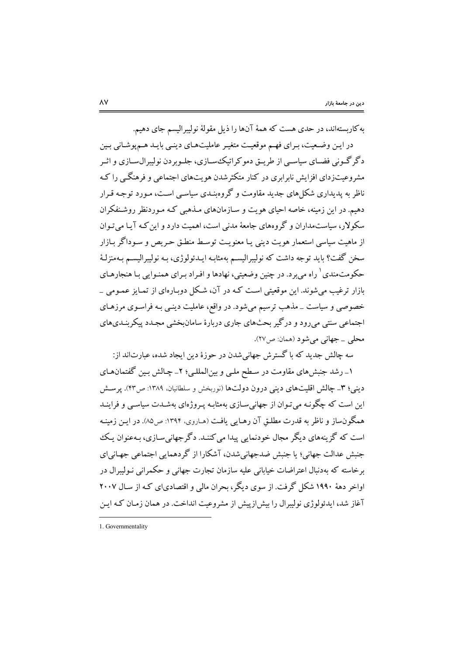به کاربستهاند، در حدی هست که همهٔ آنها را ذیل مقولهٔ نولیبرالیسم جای دهیم.

در ایـن وضـعیت، بـرای فهـم موقعیـت متغیـر عاملیتهـای دینـی بایـد هـمپوشـانی بـین د گر گـوني فضـاي سياسـي از طريــق دمو كراتيكــُسـازي، جلــوير دن نوليبرال١سـازي و اثـبر مشروعیتزدای افزایش نابرابری در کنار متکثرشدن هویتهای اجتماعی و فرهنگبی را کـه ناظر به پدیداری شکل های جدید مقاومت و گروه نیدی سیاسی است، مورد توجیه قیرار دهیم. در این زمینه، خاصه احیای هویت و سـازمانهای مــذهبی کـه مــوردنظر روشــنفکران سکولار، ساست مداران و گروههای جامعهٔ مدنی است، اهمیت دارد و این کـه آبـا مرتبوان از ماهيت سياسي استعمار هويت ديني يـا معنويـت توسـط منطـق حـريص و سـوداگر بـازار سخن گفت؟ بايد توجه داشت كه نوليبراليسـم بهمثابـه ايــدئولوژي، بـه نوليبراليســم بــهمنزلـهٔ حکومتمندی <sup>۱</sup> راه میبرد. در چنین وضعیتی، نهادها و افـراد بـرای همنـوایی بـا هنجارهـای بازار ترغیب می شوند. این موقعیتی است کـه در آن، شـکل دوبـارهای از تمـایز عمـومی \_ خصوصی و سیاست \_مذهب ترسیم می شود. در واقع، عاملیت دینبی بـه فراسـوی مرزهـای اجتماعی سنتی می رود و در گیر بحثهای جاری دربارهٔ سامانبخشی مجـدد پیکربنـدیهای محلي \_ جهاني مي شو د (همان: ص٢٧).

سه جالش جدید که با گسترش جهانیشدن در حوزهٔ دین ایجاد شده، عبارتاند از:

۱\_ رشد جنبشهای مقاومت در سـطح ملـی و بین|لمللـی؛ ۲\_ چـالش بـین گفتمانهـای دینی؛ ۳\_ چالش اقلیتهای دینی درون دولتها (نوربخش و سلطانیان، ۱۳۸۹: ص۴۳). پرسش این است که چگونـه می تـوان از جهانی۳سـازی بهمثابـه پـروژهای بهشـدت سیاسـی و فراینــد همگونساز و ناظر به قدرت مطلـق آن رهـایی یافـت (هــاروی، ۱۳۹۴: ص۵۵). در ایـن زمینـه است که گزینههای دیگر مجال خودنمایی پیدا می کننـد. دگر جهانی سـازی، پـهعنوان یـک ۔<br>جنیش عدالت جھانے؛ یا جنیش ضدجھانی شدن، آشکارا از گر دھماپی اجتماعی جھانی ای بر خاسته که بهدنبال اعتراضات خیابانی علیه سازمان تجارت جهانی و حکمرانی نـولیبرال در اواخر دههٔ ۱۹۹۰ شکل گرفت. از سوی دیگر، بحران مالی و اقتصادیای کـه از سـال ۲۰۰۷ آغاز شد، ایدئولوژی نولیبرال را بیش ازپیش از مشروعیت انداخت. در همان زمـان کـه ایـن

<sup>1.</sup> Governmentality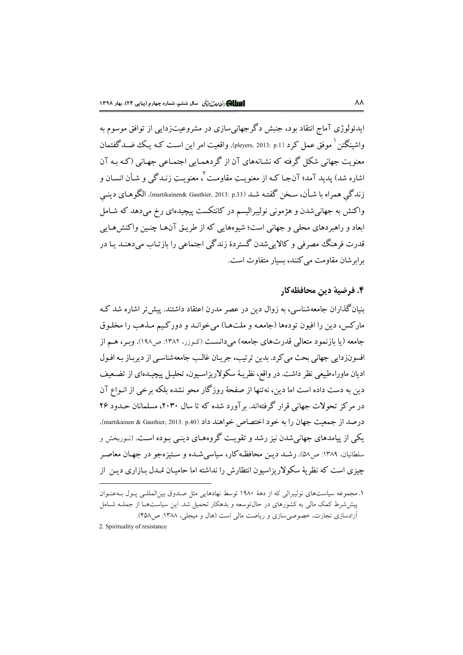ابدئولوژي آماج انتقاد يود، جنبش دگر جهاني سازي در مشروعيت; دايي از توافق موسوم به واشبنگتن <sup>(</sup> موفق عمل کرد (pleyers, 2013: p.1). واقعیت امر این است کـه بـکـُ ضـد گفتمان معنویت جهانی شکل گرفته که نشـانههای آن از گردهمـایی اجتمـاعی جهـانی (کـه بـه آن اشاره شد) پدید آمد؛ آنجـا کـه از معنویـتِ مقاومـت<sup>٢</sup>، معنویـتِ زنـدگی و شـأن انسـان و زندگی همراه با شـأن، سـخن گفتـه شـد (martikainen& Gauthier, 2013: p.33). الگوهـای دینـی واکنش به جهانی شدن و هژمونی نولیبرالیسم در کانتکست پیچیدهای رخ می دهد که شـامل ابعاد و راهبردهای محلی و جهانی است؛ شیوههایی که از طریـق آنهـا چنـین واکنش۱هـایی ۔<br>قدرت فرہنگ مصرفی و کالایے شدن گستردۂ زندگی اجتماعی را بازتـاب میدہنـد یـا در برابر شان مقاومت می کنند، بسیار متفاوت است.

# ۴. فرضية دين محافظه كار

بنیانگذاران جامعهشناسی، به زوال دین در عصر مدرن اعتقاد داشتند. پیش تر اشاره شد ک مارکس، دين را افيون تودهها (جامعـه و ملتهـا) مي خوانـد و دورکـيم مـذهب را مخلـوق جامعه (يا بازنمود متعالى قدرتهاى جامعه) مى دانست (كـوزر، ١٣٨٢: ص١٩٨). وبـر، هـم از افسونزدایی جهانی بحث می کرد. بدین ترتیب، جریان غالب جامعهشناسی از دیرباز بـه افـول ادیان ماوراءطبیعی نظر داشت. در واقع، نظریـهٔ سکولاریزاسـیون، تحلیـل پیچیـدهای از تضـعیف دین به دست داده است اما دین، نه تنها از صفحهٔ روز گار محو نشده بلکه برخی از انبواع آن در مرکز تحولات جهانی قرار گرفتهاند. بر آورد شده که تا سال ۲۰۳۰، مسلمانان حـدود ۲۶ درصد از جمعیت جهان را به خود اختصاص خواهند داد (martikainen & Gauthier, 2013: p.40). یکی از پیامدهای جهانی شدن نیز رشد و تقویت گروههای دینبی پوده است. (نیوریخش و سلطانیان. ۱۳۸۹: ص۵۸). رشــد دیــز محافظـه کار، سیاسی شــده و سـتیز هجو در جهـان معاصـر چیزی است که نظریهٔ سکولاریزاسیون انتظارش را نداشته اما حامیـان مُـدل بـازاری دیـن از

۱. مجموعه سیاستهای نولیبرالی که از دههٔ ۱۹۸۰ توسط نهادهایی مثل صندوق بینالمللـی پـول بـهعنـوان پیششرط کمک مالی به کشورهای در حالتوسعه و بدهکار تحمیل شد. این سیاستها از جملـه شـامل آزادسازی تجارت، خصوصی سازی و ریاضت مالی است (هال و میجلی، ۱۳۸۸: ص ۴۵۸).

<sup>2.</sup> Spirituality of resistance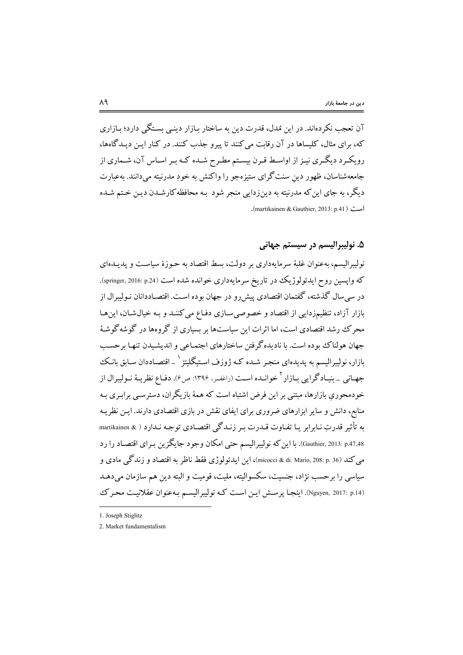آن تعجب نکر دهاند. در این مُدل، قدرت دین به ساختار بازار دینے بستگے دارد؛ بازاری که، برای مثال، کلیساها در آن رقابت می کنند تا پیرو جذب کنند. در کنار ایـن دیـدگاهها، رویکـرد دیگـری نیـز از اواسـط قـرن بیسـتم مطـرح شـده کـه بـر اسـاس آن، شـماری از جامعهشناسان، ظهور دين سنتگراي ستيزهجو را واكنش به خودِ مدرنيته ميدانند. بهعبارت دیگر، به جای این که مدرنیته به دینزدایی منجر شود بـه محافظه کارشـدن دیـن خـتم شـده است (martikainen & Gauthier, 2013: p.41).

# ۵. نوليبراليسم در سيستم جهاني

نولیبرالیسم، بهعنوان غلبهٔ سرمایهداری بر دولت، بسط اقتصاد به حـوزهٔ سیاسـت و پدیــدهای که واپسین روح ایدئولوژیک در تاریخ سرمایهداری خوانده شده است (springer, 2016: p.24). در سی سال گذشته، گفتمان اقتصادی پیش رو در جهان بوده اسـت. اقتصـاددانان نـوليبرال از بازار آزاد، تنظیمزدایی از اقتصاد و خصوصی سازی دفـاع می کننـد و بـه خیالشـان، این&ا محرک رشد اقتصادی است، اما اثرات این سیاستها بر بسیاری از گروهها در گوشه گوشهٔ جهان هولناک بوده است. با نادیده گرفتن ساختارهای اجتمـاعی و اندیشـیدن تنهـا برحسـب بازار، نولیبرالیسم به پدیدهای منجـر شـده کـه ژوزف اسـتیگلیتز ` \_ اقتصـاددان سـابق بانـک جهـاني \_ بنيـادگرايي بـازار<sup>۲</sup> خوانــده اســت (راغفـر، ۱۳۹۶: ص۶). دفـاع نظريــهٔ نــوليبرال از خودمحوری بازارها، مبتنی بر این فرض اشتباه است که همهٔ بازیگران، دسترسـی برابـری بـه منابع، دانش و سایر ابزارهای ضروری برای ایفای نقش در بازی اقتصادی دارند. ایـن نظریـه به تأثیر قدرتِ نـابرابر یـا تفـاوت قـدرت بـر زنـدگی اقتصـادی توجـه نـدارد ( & martikainen Gauthier, 2013: p.47.48). با اين كه نوليبراليسم حتى امكان وجود جايگزين بـراي اقتصـاد را رد مي كند (micocci & di. Mario, 208: p. 36)، اين ايدئولوژي فقط ناظر به اقتصاد و زندگي مادي و سیاسی را برحسب نژاد، جنسیت، سکسوالیته، ملیت، قومیت و البته دین هم سازمان میدهـد (Nguyen, 2017: p.14). اينجا پرسش اين است كه نوليبراليسم به عنوان عقلانيت محرك

<sup>1.</sup> Joseph Stiglitz

<sup>2.</sup> Market fundamentalism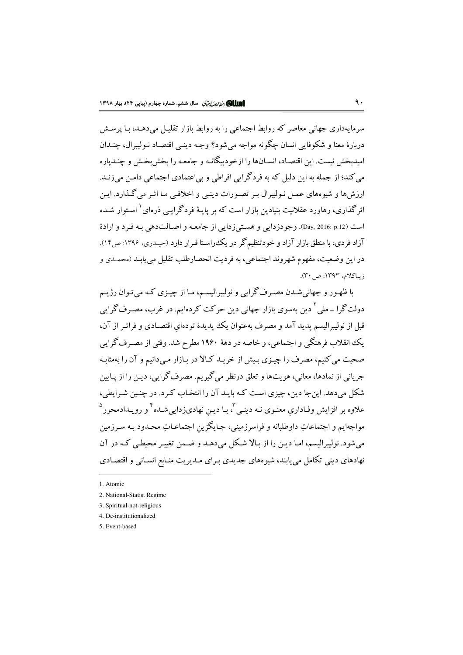سرمایهداری جهانی معاصر که روابط اجتماعی را به روابط بازار تقلیـل میدهـد، بـا پرسـش دربارۂ معنا و شکوفایی انسان چگونه مواجه می شود؟ وجـه دینـی اقتصـاد نـولیبرال، چنـدان امبدیخش نیست. این اقتصاد، انسـانها را ازخو دیگانـه و جامعـه را بخش بخـش و چنـدیاره می کند؛ از جمله به این دلیل که به فردگرایی افراطی و بی|عتمادی اجتماعی دامـن می(نـد. ارزش ها و شبوههای عمل نبولیبرال بیر تصورات دینبر، و اخلاقس مبا اثیر میرگذارد. این اثر گذاری، رهاورد عقلانت بنیادین بازار است که بر بابیهٔ فرد گرایس ذروای <sup>(</sup> استوار شیده است (pay, 2016: p.12). وجودزدابي و هستيi دابي از جامعـه و اصبالت١هي بـه فيرد و ارادهٔ آزاد فردی، با منطق بازار آزاد و خودتنظیم گر در یک راستا قبرار دارد (حیـدری، ۱۳۹۶: ص۱۲). در اين وضعيت، مفهوم شهروند اجتماعي، به فرديت انحصارطلب تقليل مي يابـد (محمـدي و زيباكلام، ١٣٩٣: ص ٣٠).

با ظهـور و جهاني شـدن مصـرف گرايي و نوليبراليسـم، مـا از چيـزي كـه مي تـوان رژيــم دولت گرا \_ ملي ' دين بهسوي بازار جهاني دين حرکت کردهايم. در غرب، مصـرف گرايي قبل از نولیبرالیسم پدید آمد و مصرف بهعنوان یک پدیدهٔ تودهای اقتصـادی و فراتـر از آن، یک انقلاب فرهنگی و اجتماعی، و خاصه در دههٔ ۱۹۶۰ مطرح شد. وقتی از مصـرف گرایی صحبت می کنیم، مصرف را چیـزی بـیش از خریـد کـالا در بـازار مـیدانیم و آن را بهمثابـه جرياني از نمادها، معاني، هويتها و تعلق درنظر مي گيريم. مصرف گرايي، ديـن را از پــايين شکل می دهد. این جا دین، چیزی است کـه بایـد آن را انتخـاب کـر د. در چنـین شـرایطی، علاوه بر افزایش وفـاداری معنـوی نـه دینـی آ، بـا دیـن نهادیزدایی شـده <sup>آ</sup> و رویـدادمحور <sup>(</sup> مواجهايم و اجتماعاتِ داوطلبانه و فراسرزميني، جـايگزين اجتماعـاتِ محـدود بـه سـرزمين می شود. نولیبرالیسم، امـا دیـن را از بـالا شـكل می دهـد و ضـمن تغییـر محیطـی كـه در آن نهادهای دینی تکامل می یابند، شیوههای جدیدی بـرای مـدیریت منـابع انسـانی و اقتصـادی

<sup>1.</sup> Atomic

<sup>2.</sup> National-Statist Regime

<sup>3.</sup> Spiritual-not-religious

<sup>4.</sup> De-institutionalized

<sup>5.</sup> Event-based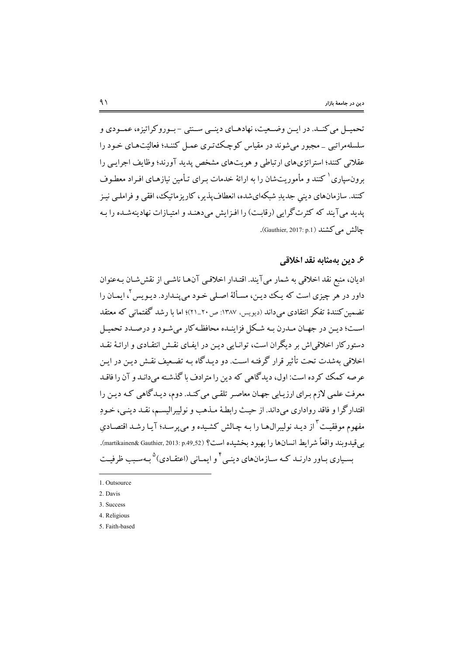تحميــل مي كنــد. در ايــن وضــعيت، نهادهــاي دينــي ســنتي - بــو رو كراتيزه، عمــودي و سلسلهمراتبي \_ مجبور مي شوند در مقياس كوچك تيري عميل كننـد؛ فعاليّتهـاي خـود را عقلانی کنند؛ استراتژیهای ارتباطی و هویتهای مشخص پدید آورند؛ وظایف اجرایبی را برونسپاری <sup>۱</sup> کنند و مأموریتشان را به ارائهٔ خدمات بـرای تـأمین نیازهـای افـراد معطـوف کنند. سازمانهای دینی جدیدِ شبکهایشده، انعطافپذیر، کاریزماتیک، افقی و فراملـی نیـز یدید می آیند که کثرتگرایی (رقابت) را افـزایش میدهنـد و امتیـازات نهادینهشـده را بـه چالش می کشند (Gauthier, 2017: p.1).

## ۶. دین بهمثابه نقد اخلاقی

ادیان، منبع نقد اخلاقی به شمار میآیند. اقتـدار اخلاقـی آنهـا ناشـی از نقش۵شـان بـهعنوان داور در هر چیزی است که یـک دیـن، مسـألهٔ اصـلی خـود می پنـدارد. دیـویس ۲ ایمـان را تضمین کنندهٔ تفکر انتقادی مرداند (دیویس) ۱۳۸۷: ص۲۰\_۲۱)؛ اما با رشد گفتمانی که معتقد است؛ دین در جهیان میدرن بیه شبکل فزاینیده محافظه کار مرشود و درصیدد تحمیل دستورکار اخلاقی اش بر دیگران است، توانـایی دیـن در ایفـای نقـش انتقـادی و ارائـهٔ نقـد اخلاقی بهشدت تحت تأثیر قرار گرفتـه اسـت. دو دیـدگاه بـه تضـعیف نقـش دیـن در ایـن عرصه کمک کرده است: اول، دیدگاهی که دین را مترادف با گذشته می دانید و آن را فاقید معرفت علمی لازم بـرای ارزیـابی جهـان معاصـر تلقـی می کنـد. دوم، دیـدگاهی کـه دیـن را اقتدارگرا و فاقد رواداری میداند. از حیث رابطـهٔ مـذهب و نولیبرالیسـم، نقـد دینـی، خـودِ مفهوم موفقیت <sup>۳</sup> از دیـد نولیبرال۱مـا را بـه چـالش کشـیده و میپرسـد؛ آیـا رشـد اقتصـادیِ بي قيدو بند واقعاً شرايط انسان ها را بهبو د بخشيده است؟ (martikainen& Gauthier, 2013: p.49\_52). بسیاری بـاور دارنــد کـه سـازمانهای دینــی <sup>۴</sup> و ایمـانی (اعتقــادی)<sup>۵</sup> بـهسـبب ظرفیـت

- 4. Religious
- 5. Faith-based

<sup>1.</sup> Outsource

<sup>2.</sup> Davis

<sup>3.</sup> Success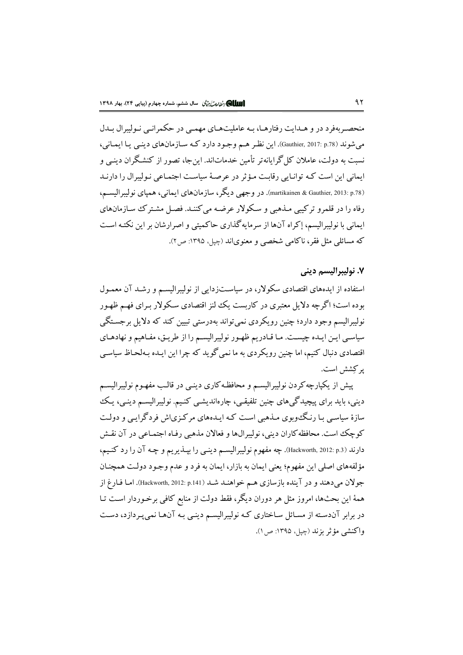منحصـر بهفرد در و هــدايت رفتارهــا، بــه عامليتهــاي مهمــي در حكمرانــي نــوليبرال بــدل می شوند (p.78 :Gauthier, 2017: p.78). این نظر هم وجـود دارد کـه سـازمانهای دینـی یـا ایمـانی، نسبت به دولت، عاملان کل گرایانه تر تأمین خدماتاند. این جا، تصور از کنشگران دینبی و ایمانی این است کـه توانـایی رقابـت مـؤثر در عرصـهٔ سیاسـت اجتمـاعی نـولیبرال را دارنـد (martikainen & Gauthier, 2013: p.78). در وجهي ديگر، سازمانهاي ايماني، همياي نوليبراليسـم، رفاه را در قلمرو ترکیبی مــذهبی و ســکولار عرضــه می کننــد. فصــل مشـتر ک ســازمانهای ایمانی با نولیبرالیسم، إکراه آنها از سرمایهگذاری حاکمیتی و اصرارشان بر این نکتـه اسـت که مسائلی مثل فقر، ناکامی شخصی و معنویاند (چیل، ۱۳۹۵: ص۲).

#### ٧. نوليبراليسم ديني

استفاده از ایدههای اقتصادی سکولار، در سیاستزدایی از نولیبرالیسم و رشـد آن معمـول بوده است؛ اگرچه دلایل معتبری در کاریست یک لنز اقتصادی سکولار بـرای فهـم ظهـور نوليبراليسم وجود دارد؛ چنين رويكردي نمي تواند بهدرستي تبيين كند كه دلايل برجستگي سیاسے اپن ایبدہ چیست. مبا قیادریم ظهور نولیبرالیسیم را از طریق، مفیاهیم و نهادهیای اقتصادی دنبال کنیم، اما چنین رو یکردی به ما نمی گو ید که چرا این اییده بیهلحیاظ سیاسی يو كِشش است.

پیش از یکپارچه کردن نولیبرالیسـم و محافظـه کاری دینـی در قالـب مفهـوم نولیبرالیسـم دینی، باید برای پیچیدگیهای چنین تلفیقی، چارهاندیشی کنیم. نولیبرالیسـم دینـی، یـک سازهٔ سیاسبی بـا رنـگـُوبوی مـذهبی اسـت کـه ایـدههای مرکـزی|ش فردگرایـی و دولـت كوچك است. محافظه كاران ديني، نوليبرالها و فعالان مذهبي رفـاه اجتمـاعي در آن نقـش دارند (p.3) Hackworth, 2012: p.3). چه مفهوم نوليبراليسـم دينــي را بپـــذيريـم و چــه آن را رد كنـيـم، مؤلفههاي اصلي اين مفهوم؛ يعني ايمان به بازار، ايمان به فرد و عدم وجـود دولـت همچنـان جولان میدهند و در آینده بازسازی هـم خواهنـد شـد (p.141) (Hackworth, 2012: p.141). امـا فـارغ از همهٔ این بحثها، امروز مثل هر دوران دیگر، فقط دولت از منابع کافی برخـوردار اسـت تـا در برابر آندسـته از مسـائل سـاختاری کـه نوليبراليسـم دينـی بـه آن&ـا نمیپـردازد، دسـت واكنشي مؤثر بزند (چيل، ١٣٩٥: ص ١).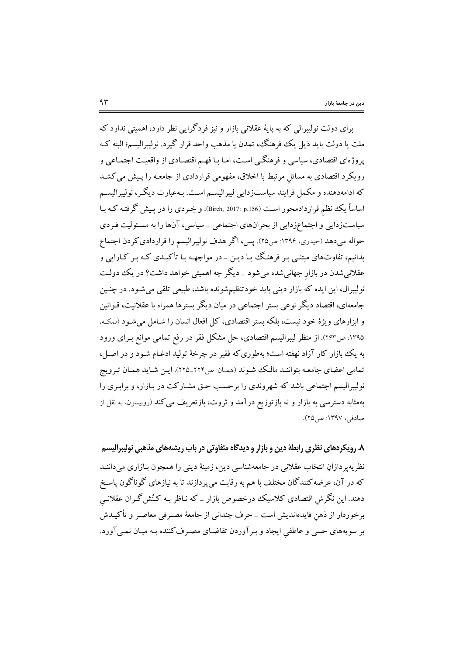برای دولت نولیبرالی که به پایهٔ عقلانی بازار و نیز فردگرایی نظر دارد، اهمیتی ندارد که ملت يا دولت بايد ذيل يك فرهنگ، تمدن يا مذهب واحد قرار گيرد. نوليبراليسم؛ البته كـه پروژهای اقتصادی، سیاسی و فرهنگـی اسـت، امـا بـا فهـم اقتصـادی از واقعیـت اجتمـاعی و رویکرد اقتصادی به مسائل مرتبط با اخلاق، مفهومی قراردادی از جامعـه را پـیش می کشـد که ادامهدهنده و مکمل فرایند سیاستزدایی لیبرالیسم است. بـهعبارت دیگـر، نولیبرالیسـم اساساً یک نظم قراردادمحور است (Birch, 2017: p.156). و خِـردی را در پـیش گرفتـه کـه بـا سیاستزدایی و اجتماعزدایی از بحرانهای اجتماعی \_سیاسی، آنها را به مسئولیت فـردی حواله میدهد (حیدری، ۱۳۹۶: ص۲۵). پس، اگر هدف نولیبرالیسم را قراردادی کردن اجتماع بدانیم، تفاوتهای مبتنبی بـر فرهنگ یـا دیـن \_ در مواجهـه بـا تأکیـدی کـه بـر کـارایی و عقلانیشدن در بازار جهانی شده می شود \_دیگر چه اهمیتی خواهد داشت؟ در یک دولت نولیبرال، این ایده که بازار دینی باید خودتنظیمشونده باشد، طبیعی تلقی می شـود. در چنـین جامعهای، اقتصاد دیگر نوعی بستر اجتماعی در میان دیگر بسترها همراه با عقلانیت، قـوانین و ابزارهای ویژهٔ خود نیست، بلکه بستر اقتصادی، کل افعال انسان را شـامل می شـود (لمکـه، ۱۳۹۵: ص۲۶۳). از منظر لیبرالیسم اقتصادی، حل مشکل فقر در رفع تمامی موانع بـرای ورود به یک بازار کار آزاد نهفته است؛ بهطوری که فقیر در چرخهٔ تولید ادغـام شـود و در اصـل، تمامی اعضای جامعه بتواننـد مالـک شـوند (همـان: ص٢٢٢\_٢٢٥). ايـن شـايد همـان تـرويج نولیبرالیسم اجتماعی باشد که شهروندی را برحسب حـق مشـارکت در بـازار، و برابـری را .<br>بهمثابه دسترسی به بازار و نه بازتوزیع درآمد و ثروت، بازتعریف می کند (روبیسون، به نقل از صادقی، ۱۳۹۷: ص2۲).

۸. رویکردهای نظری رابطهٔ دین و بازار و دیدگاه متفاوتی در باب ریشههای مذهبی نولیبرالیسم نظريهپردازانِ انتخاب عقلاني در جامعهشناسي دين، زمينهٔ ديني را همچون بـازاري ميداننـد که در آن، عرضه کنندگان مختلف با هم به رقابت میپردازند تا به نیازهای گوناگون پاسخ دهند. این نگرش اقتصادی کلاسیک درخصوص بازار \_ که نـاظر بـه کـنُش گـران عقلانـی برخوردار از ذهن فايدهانديش است \_ حرف چنداني از جامعهٔ مصـرفي معاصـر و تأكيــدش بر سویههای حسی و عاطفی ایجاد و بـرآوردن تقاضـای مصـرف کننده بـه میـان نمـیآورد.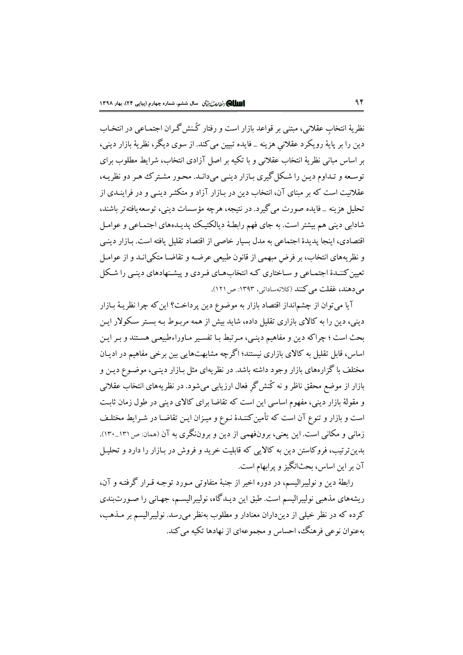نظریهٔ انتخاب عقلانی، مبتنی بر قواعد بازار است و رفتار کُنش گران اجتمـاعی در انتخـاب دين را بر پايهٔ رويکرد عقلاني هزينه \_فايده تبيين مي کند. از سوي ديگر، نظريهٔ بازار ديني، بر اساس مبانی نظریهٔ انتخاب عقلانی و با تکیه بر اصل آزادی انتخاب، شرایط مطلوب برای توسعه و تـداوم ديـن را شـكل گيري بـازار دينـي مي دانـد. محـور مشـتر ك هـر دو نظريـه، عقلانیت است که بر مبنای آن، انتخاب دین در بـازار آزاد و متکثـر دینـی و در فراینـدی از تحليل هزينه \_فايده صورت مي گيرد. در نتيجه، هرچه مؤسسات ديني، توسعه يافته تر باشند، شادابی دینی هم بیشتر است. به جای فهم رابطـهٔ دیالکتیـک یدیـدههای اجتمـاعی و عوامـل .<br>اقتصادی، اینجا پدیدهٔ اجتماعی به مدل بسیار خاصی از اقتصاد تقلیل یافته است. بـازار دینـی و نظریههای انتخاب، بر فرض مبهمی از قانون طبیعی عرضـه و تقاضـا متکی|نــد و از عوامـل تعیین کننـدهٔ اجتمـاعی و سـاختاری کـه انتخابهـای فـردی و پیشـنهادهای دینـی را شـکل می دهند، غفلت می کنند (کلاتهساداتی، ۱۳۹۳: ص ۱۲۱).

آيا مي توان از چشم|نداز اقتصاد بازار به موضوع دين پرداخت؟ اين كه چرا نظريـهٔ بـازار دینی، دین را به کالای بازاری تقلیل داده، شاید بیش از همه مربـوط بـه بسـتر سـکولار ایـن بحث است ؛ چراکه دین و مفاهیم دینبی، میرتبط بـا تفسیر مـاوراءطبیعـی هسـتند و بـر ایـن اساس، قابل تقلیل به کالای بازاری نیستند؛ اگرچه مشابهتهایی بین برخی مفاهیم در ادیـان مختلف با گزارههای بازار وجود داشته باشد. در نظریهای مثل بـازار دینـی، موضـوع دیـن و بازار از موضع محقق ناظر و نه کُنش گرِ فعال ارزیابی میشود. در نظریههای انتخاب عقلانی و مقولهٔ بازار دینی، مفهوم اساسی این است که تقاضا برای کالای دینی در طول زمان ثابت است و بازار و تنوع آن است که تأمین کننـدهٔ نـوع و میـزان ایـن تقاضـا در شـرایط مختلـف زمانی و مکانی است. این یعنی، برونفهمی از دین و بروننگری به آن (همان ص١٣١\_١٣٠). بدین ترتیب، فروکاستن دین به کالایی که قابلیت خرید و فروش در بـازار را دارد و تحلیـل آن بر این اساس، بحثانگیز و پرابهام است.

رابطهٔ دین و نولیبرالیسم، در دوره اخیر از جنبهٔ متفاوتی مـورد توجـه قـرار گرفتـه و آن، ریشههای مذهبی نولیبرالیسم است. طبق این دیـدگاه، نولیبرالیسـم، جهـانی را صـورت بندی کرده که در نظر خیلی از دینداران معنادار و مطلوب بهنظر میرسد. نولیبرالیسم بر مـذهب، بهعنوان نوعی فرهنگ، احساس و مجموعهای از نهادها تکیه می کند.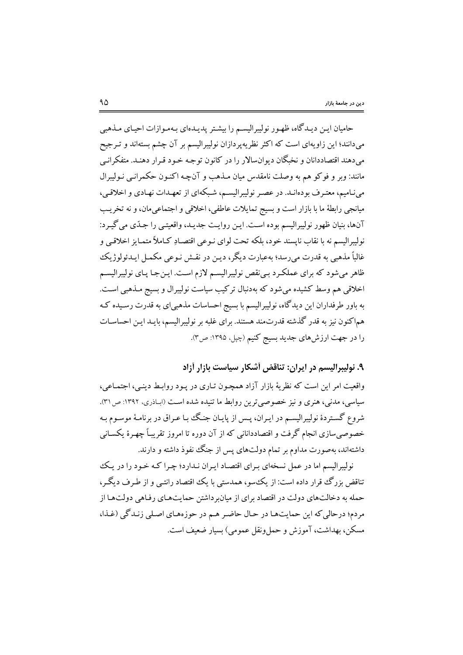حامیان ایـن دیـدگاه، ظهـور نولیبرالیسـم را بیشـتر پدیـدهای بـهمـوازات احیـای مـذهبی میدانند؛ این زاویهای است که اکثر نظریهپردازان نولیبرالیسم بر آن چشم بستهاند و تـرجیح میدهند اقتصاددانان و نخبگان دیوانسالار را در کانون توجه خـود قـرار دهنـد. متفکرانـی مانند: وبر و فوکو هم به وصلت نامقدس میان مـذهب و آنچـه اکنـون حکمرانـی نـولیبرال می نامیم، معتبرف بودهانـد. در عصـر نولیبرالیسـم، شـبکهای از تعهـدات نهـادی و اخلاقـی، ميانجي رابطهٔ ما با بازار است و بسيج تمايلات عاطفي، اخلاقي و اجتماعي مان، و نه تخريب آنها، بنیان ظهور نولیبرالیسم بوده است. ایـن روایـت جدیـد، واقعیتـی را جـدّی می گیـرد: نوليبراليسم نه با نقاب ناپسند خود، بلكه تحت لواي نـوعي اقتصـادِ كـاملاً متمـايز اخلاقـي و غالباً مذهبي به قدرت مي رسد؛ بهعبارت ديگر، ديـن در نقـش نـوعي مكمـل ايـدئولوژيك ظاهر میشود که برای عملکرد بی نقص نولیبرالیسم لازم است. ایـنجـا پـای نولیبرالیسـم اخلاقی هم وسط کشیده می شود که بهدنبال ترکیب سیاست نولیبرال و بسیج مـذهبی اسـت. به باور طرفداران این دیدگاه، نولیبرالیسم با بسیج احساسات مذهبیای به قدرت رسـیده کـه هماكنون نيز به قدر گذشته قدرتمند هستند. براي غلبه بر نوليبراليسم، بايـد ايـن احساسـات را در جهت ارزش،های جدید بسیج کنیم (چپل، ۱۳۹۵: ص۳).

۹. نولیبرالیسم در ایران: تناقض أشکار سیاست بازار أزاد

واقعیت امر این است که نظریهٔ بازار آزاد همچـون تـاری در پـود روابـط دینـی، اجتمـاعی، سیاسی، مدنی، هنری و نیز خصوصی ترین روابط ما تنیده شده است (ابـاذری، ۱۳۹۲: ص۳۱). شروع گسـتردهٔ نولیبرالیسـم در ایـران، پـس از پایـان جنـگ بـا عـراق در برنامـهٔ موسـوم بـه خصوصی سازی انجام گرفت و اقتصاددانانی که از آن دوره تا امروز تقریباً چهـرهٔ یکسـانی داشتهاند، بهصورت مداوم بر تمام دولتهای پس از جنگ نفوذ داشته و دارند.

نولیبرالیسم اما در عمل نسخهای بـرای اقتصـاد ایـران نـدارد؛ چـرا کـه خـود را در یـک تناقض بزرگ قرار داده است: از یک سو، همدستی با یک اقتصاد رانتبی و از طبرف دیگیر، حمله به دخالتهای دولت در اقتصاد برای از میان وداشتن حمایتهای رفاهی دولتها از مردم؛ درحالی که این حمایتهـا در حـال حاضـر هـم در حوزههـای اصـلی زنـدگی (غـذا، مسكن، بهداشت، آموزش و حمل ونقل عمومي) بسيار ضعيف است.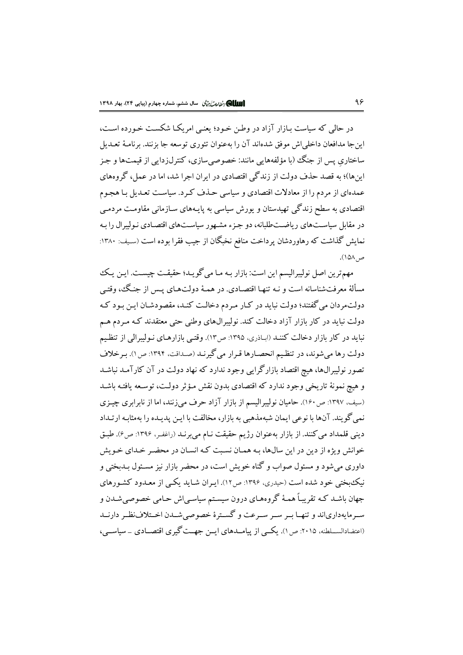در حالی که سیاست بـازار آزاد در وطـن خـود؛ یعنـی امریکـا شکسـت خـورده اسـت، اين جا مدافعان داخلي اش موفق شدهاند آن را بهعنوان تئوري توسعه جا بزنند. برنامـهٔ تعـديل ساختاري پس از جنگ (با مؤلفههايي مانند: خصوصي سازي، كنترل(دايي از قيمتها و جـز اینها)؛ به قصد حذف دولت از زندگی اقتصادی در ایران اجرا شد، اما در عمل، گروههای عمدهای از مردم را از معادلات اقتصادی و سیاسی حـذف کـرد. سیاسـت تعـدیل بـا هجـوم اقتصادی به سطح زندگی تهیدستان و پورش سیاسی به پایـههای سـازمانی مقاومـت مردمـی در مقابل سیاستهای ریاضتطلبانه، دو جزء مشهور سیاستهای اقتصادی نـولیبرال را بـه نمایش گذاشت که رهاوردشان پرداخت منافع نخبگان از جیب فقرا بوده است (سیف: ۱۳۸۰: ص ١۵٨).

مهمترين اصل نوليبراليسم اين است: بازار بـه مـا مي گويـد؛ حقيقـت چيسـت. ايـن يـك مسألهٔ معرفتشناسانه است و نـه تنهـا اقتصـادي. در همـهٔ دولتهـاي پـس از جنـگ، وقتـي دولت.ردان می گفتند؛ دولت نباید در کـار مـردم دخالـت کنـد، مقصودشـان ايـن بـود کـه دولت نباید در کار بازار آزاد دخالت کند. نولیبرالهای وطنی حتی معتقدند کـه مـردم هـم نباید در کار بازار دخالت کننـد (ابـاذري، ۱۳۹۵: ص۱۳). وقتـي بازارهـاي نـوليبرالي از تنظـيم دولت رها می شوند، در تنظیم انحصارها قـرار می گیرنـد (صـداقت، ۱۳۹۴: ص ۱). بـرخلاف تصور نولیبرالها، هیچ اقتصاد بازارگرایی وجود ندارد که نهاد دولت در آن کارآمـد نباشـد و هیچ نمونهٔ تاریخی وجود ندارد که اقتصادی بدون نقش مـؤثر دولـت، توسـعه یافتـه باشـد (سیف، ۱۳۹۷: ص۱۶۰). حامیان نولیبرالیسم از بازار آزاد حرف می;نند، اما از نابرابری چیـزی نمی گویند. آنها با نوعی ایمان شبهمذهبی به بازار، مخالفت با ایـن پدیـده را بهمثابـه ارتـداد ديني قلمداد مي كنند. از بازار به عنوان رژيم حقيقت نـام مي برنـد (راغفـر، ١٣٩۶: ص9). طبـق .<br>خوانش ویژه از دین در این سالها، بـه همـان نسـبت کـه انسـان در محضـر خـدای خـو پش داوری می شود و مسئول صواب و گناه خویش است، در محضر بازار نیز مسـئول بــدبختی و نیک بختی خود شده است (حیدری، ۱۳۹۶: ص۱۲). ایبران شباید یکبی از معبدود کشورهای جهان باشـد کـه تقریبـاً همـهٔ گروههـای درون سیسـتم سیاسـی|ش حـامی خصوصـی شـدن و سیرمایهداریاند و تنهیا سر سیر سیرعت و گسترهٔ خصوصی شیدن اختلاف نظیر دارنید (اعتضادالســلطنه، ۲۰۱۵: ص ۱). یکــی از پیامــدهای ایــن جهــت گیری اقتصــادی \_ سیاســی،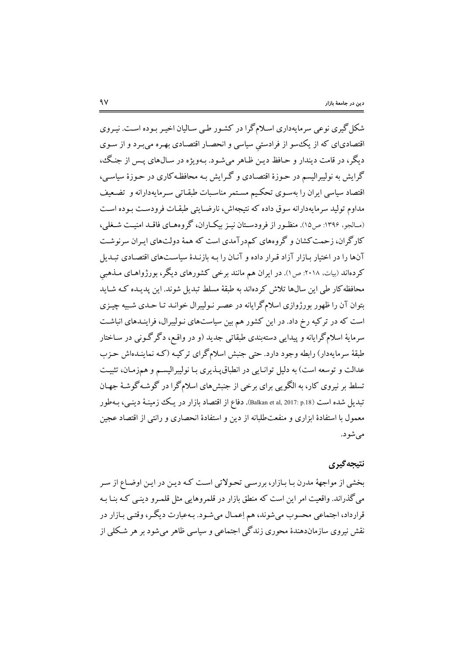شکل گیری نوعی سرمایهداری اسلام گرا در کشـور طـی سـالیان اخیـر بـوده اسـت. نیـروی اقتصادیای که از یک سو از فرادستی سیاسی و انحصـار اقتصـادی بهـره میبـرد و از سـوی دیگر، در قامت دیندار و حـافظ دیـن ظـاهر میشـود. بـهویژه در سـال&ای پــس از جنـگ، گرایش به نولیبرالیسم در حـوزهٔ اقتصـادی و گـرایش بـه محافظـه کاری در حـوزهٔ سیاسـی، اقتصاد سیاسی ایران را بهسـوی تحکـیـم مسـتمر مناسـبات طبقـاتی سـرمایهدارانه و تضـعیف مداوم تولید سرمایهدارانه سوقی داده که نتیجهاش، نارضـایتی طبقـات فرودسـت بـوده اسـت (مـالجو، ۱۳۹۶: ص۱۵). منظـور از فرودسـتان نيـز بيكـاران، گروههـاي فاقـد امنيـت شـغلي، کارگران، زحمت کشان و گروههای کمدرآمدی است که همهٔ دولتهای ایـران سرنوشـت آنها را در اختیار بـازار آزاد قـرار داده و آنـان را بـه بازنـدهٔ سیاســتـهای اقتصـادی تبـدیل کردهاند (بیات، ۲۰۱۸: ص۱). در ایران هم مانند برخی کشورهای دیگر، بورژواهـای مـذهبی .<br>محافظه کار طی این سالها تلاش کردهاند به طبقهٔ مسلط تبدیل شوند. این پدیـده کـه شـاید بتوان آن را ظهور بورژوازی اسلامگرایانه در عصـر نـولیبرال خوانـد تـا حـدی شـبیه چیـزی است که در ترکیه رخ داد. در این کشور هم بین سیاستهای نـولیبرال، فراینـدهای انباشـت سرمايهٔ اسلامگرايانه و پيدايي دستهبندي طبقاتي جديد (و در واقع، دگرگوني در سـاختار طبقهٔ سرمایهدار) رابطه وجود دارد. حتی جنبش اسلامگرای ترکیـه (کـه نماینـدهاش حـزب عدالت و توسعه است) به دلیل توانـایی در انطباقیـدنیری بـا نولیبرالیسـم و همزمـان، تثبیـت تسلط بر نیروی کار، به الگویبی برای برخی از جنبشهای اسلام گرا در گوشـه گوشـهٔ جهـان تبدیل شده است (palkan et al, 2017: p.18). دفاع از اقتصاد بازار در یـک زمینـهٔ دینـی، بـهطور معمول با استفادهٔ ابزاری و منفعتطلبانه از دین و استفادهٔ انحصاری و رانتی از اقتصاد عجین مې شو د.

# نتيجه گيري

بخشی از مواجههٔ مدرن بـا بـازار، بررسـی تحـولاتی اسـت کـه ديـن در ايـن اوضـاع از سـر می گذراند. واقعیت امر این است که منطق بازار در قلمروهایی مثل قلمبرو دینبی کـه بنـا بـه قرارداد، اجتماعي محسوب مي شوند، هم إعمـال مي شـود. بـهعبارت ديگـر ، وقتـي بـازار در نقش نیروی سازماندهندهٔ محوری زندگی اجتماعی و سیاسی ظاهر می شود بر هر شکلی از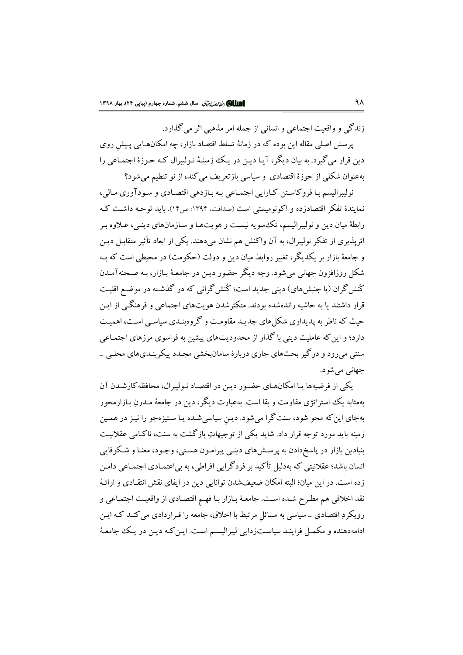زندگے و واقعت اجتماعے و انسانی از جمله امر مذهبی اثر می گذارد.

یرسش اصلی مقاله این بوده که در زمانهٔ تسلط اقتصاد بازار، چه امکانهایی پیش روی دین قرار می گیرد. به بیان دیگر، آیـا دیـن در یـک زمینـهٔ نـولیبرال کـه حـوزهٔ اجتمـاعی را بهعنوان شکلی از حوزهٔ اقتصادی ًو سیاسی بازتعریف می کند، از نو تنظیم می شود؟

نوليبراليسم بـا فروكاسـتن كـارايي اجتمـاعي بـه بـازدهي اقتصـادي و سـودآوري مـالي، نمایندهٔ تفکر اقتصادزده و اکونومستی است (صداقت، ۱۳۹۴: ص۱۴). باید توجیه داشت کیه رابطهٔ میان دین و نولیبرالیسم، تک سویه نیست و هویتهـا و سـازمانهای دینـی، عـلاوه بـر اثریذیری از تفکر نولیبرال، به آن واکنش هم نشان میدهند. یکی از ابعاد تأثیر متقابـل دیـن و جامعهٔ بازار بر یکدیگر، تغییر روابط میان دین و دولت (حکومت) در محیطی است که بـه شکل روزافزون جهاني مي شود. وجه ديگر حضور ديـن در جامعـهٔ بـازار، بـه صـحنهآمـدن کُنش گران (یا جنبش های) دینی جدید است؛ کُنش گرانی که در گذشـته در موضـع اقلیـت قرار داشتند یا به حاشیه راندهشده بودند. متکثرشدن هویتهای اجتماعی و فرهنگـی از ایـن حیث که ناظر به پدیداری شکل های جدیـد مقاومـت و گروهنـدی سیاسـی اسـت، اهمیـت دارد؛ و این که عاملیت دینی با گذار از محدودیتهای پیشین به فراسوی مرزهای اجتمـاعی سنتی می رود و در گیر بحثهای جاری دربارهٔ سامان بخشی مجیدد پیکر بنیدیهای محلبی \_ جهاني مي شو د.

یکی از فرضیهها یـا امکانهـای حضـور دیـن در اقتصـاد نـولیبرال، محافظه کارشـدن آن بهمثابه یک استراتژی مقاومت و بقا است. بهعبارت دیگر، دین در جامعهٔ مـدرن بـازارمحور بهجای این که محو شود، سنت گرا می شود. دین سیاسی شـده یـا سـتیزهجو را نیـز در همـین زمینه باید مورد توجه قرار داد. شاید یکی از توجیهاتِ بازگشت به سنت، ناکـامی عقلانیـت بنیادین بازار در پاسخدادن به پرسشهای دینبی پیرامـون هسـتبی، وجـود، معنـا و شـكوفايبي انسان باشد؛ عقلانیتی که بهدلیل تأکید بر فردگرایی افراطی، به بیاعتمـادی اجتمـاعی دامـن .<br>زده است. در این میان؛ البته امکان ضعیفشدن توانایی دین در ایفای نقش انتقـادی و ارائـهٔ نقد اخلاقي هم مطرح شـده اسـت. جامعـهٔ بـازار بـا فهـم اقتصـادي از واقعيـت اجتمـاعي و رویکردِ اقتصادی \_ سیاسی به مسائل مرتبط با اخلاق، جامعه را قـراردادی می کنـد کـه ایـن ادامهدهنده و مکمـل فراینـد سیاسـتزدایی لیبرالیسـم اسـت. ایـن کـه دیـن در یـک جامعـهٔ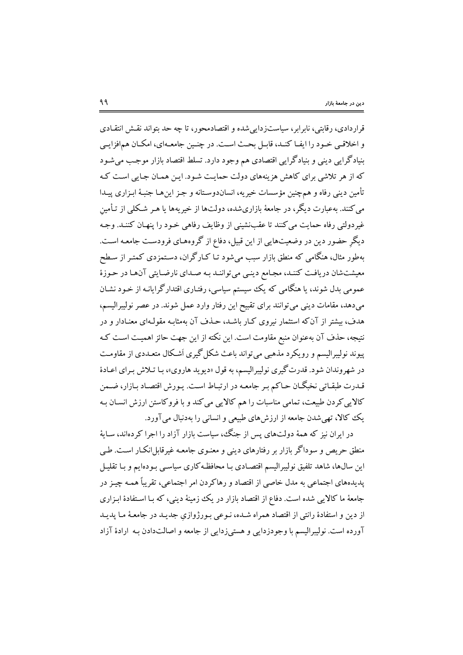قرار دادی، رقابتی، نابرابر، سیاستزدایی شده و اقتصادمحور، تا چه حد بتواند نقش انتقـادی و اخلاقی خـود را ایفـا کنـد، قابـل بحـث اسـت. در چنـین جامعـهاي، امکـان همافزايـي بنیادگرایی دینی و بنیادگرایی اقتصادی هم وجود دارد. تسلط اقتصاد بازار موجب می شـود که از هر تلاشی برای کاهش هزینههای دولت حمایت شـود. ایـن همـان جـایی اسـت کـه تأمين ديني رفاه و همچنين مؤسسات خيريه، انساندوسـتانه و جـز اين هـا جنبـهٔ ابـزاري پيـلـا می کنند. بهعبارت دیگر، در جامعهٔ بازاریشده، دولتها از خیریهها یا هـر شـکلبی از تـأمین غیردولتی رفاه حمایت می کنند تا عقبنشینی از وظایف رفاهی خـود را پنهـان کننـد. وجـه دیگرِ حضور دین در وضعیتهایی از این قبیل، دفاع از گروههـای فرودسـت جامعـه اسـت. بهطور مثال، هنگامی که منطق بازار سبب میشود تـا کـارگران، دسـتمزدی کمتـر از سـطح معیشتشان دریافت کننـد، مجـامع دینـی میتواننـد بـه صـدای نارضـایتی آنهـا در حـوزهٔ عمومی بدل شوند، یا هنگامی که یک سیستم سیاسی، رفتـاری اقتدارگرایانـه از خـود نشـان میدهد، مقامات دینی میتوانند برای تقبیح این رفتار وارد عمل شوند. در عصر نولیبرالیسم، هدف، پشتر از آنکه استثمار نیروی کبار باشد، حـذف آن بهمثابـه مقولـهای معنـادار و در نتيجه، حذف آن بهعنوان منبع مقاومت است. اين نكته از اين جهت حائز اهميت است كـه پیوند نولیبرالیسم و رویکرد مذهبی می تواند باعث شکل گیری اَشکال متعـددی از مقاومـت در شهروندان شود. قدرت گیری نولیبرالیسم، به قول «دیوید هاروی»، بـا تـلاش بـرای اعـادهٔ قـدرت طبقـاتي نخبگـان حـاكم بـر جامعـه در ارتبـاط اسـت. يـورش اقتصـاد بـازار، ضـمن کالایی کردن طبیعت، تمامی مناسبات را هم کالایی می کند و با فروکاستن ارزش انسـان بـه یک کالا، تھی شدن جامعه از ارزش های طبیعی و انسانی را بهدنبال می آورد.

در ایران نیز که همهٔ دولتهای پس از جنگ، سیاست بازار آزاد را اجرا کردهاند، سـایهٔ منطق حریص و سوداگر بازار بر رفتارهای دینی و معنـوی جامعـه غیرقابل|نکـار اسـت. طـی این سال&ا، شاهد تلفیق نولیبرالیسم اقتصـادی بـا محافظـه کاری سیاسـی بـودهایـم و بـا تقلیـل یدیدههای اجتماعی به مدل خاصی از اقتصاد و رهاکردن امر اجتماعی، تقریباً همـه چیـز در جامعهٔ ما کالایی شده است. دفاع از اقتصاد بازار در یک زمینهٔ دینی، که بـا اسـتفادهٔ ابـزاری از دین و استفادهٔ رانتی از اقتصاد همراه شـده، نـوعی بـورژوازی جدیـد در جامعـهٔ مـا یدیـد آورده است. نولیبرالیسم با وجودزدایی و هستیزدایی از جامعه و اصالتدادن بـه ارادهٔ آزاد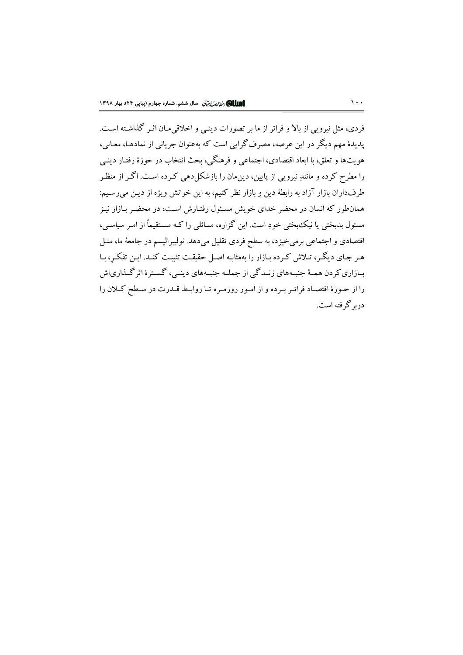فردي، مثل نيرويي از بالا و فراتر از ما بر تصورات دينبي و اخلاقي مـان اثـر گذاشـته اسـت. پدیدهٔ مهم دیگر در این عرصه، مصرف گرایی است که بهعنوان جریانی از نمادهـا، معـانی، هویتها و تعلق، با ابعاد اقتصادی، اجتماعی و فرهنگی، بحث انتخاب در حوزهٔ رفتـار دینـی را مطرح کرده و مانندِ نیرویی از پایین، دینِمان را بازشکل(دهی کـرده اسـت. اگـر از منظـر طرفداران بازار آزاد به رابطهٔ دین و بازار نظر کنیم، به این خوانش ویژه از دیـن می رسـیم: همانطور که انسان در محضر خدای خویش مسئول رفتـارش اسـت، در محضـر بـازار نیـز مسئول بدبختی یا نیک بختی خودِ است. این گزاره، مسائلی را کـه مسـتقیماً از امـر سیاسـی، اقتصادی و اجتماعی برمیخیزد، به سطح فردی تقلیل میدهد. نولیبرالیسم در جامعهٔ ما، مثـل هـر جـاي ديگـر، تـلاش كـرده بـازار را بهمثابـه اصـل حقيقـت تثبيـت كنـد. ايـن تفكـر، بـا بـازاري كردن همـهٔ جنبـههاي زنــدگي از جملــه جنبـههاي دينــي، گســترهٔ اثرگــذارياش را از حـوزهٔ اقتصـاد فراتـر بـرده و از امـور روزمـره تـا روابـط قـدرت در سـطح كـلان را دربرگرفته است.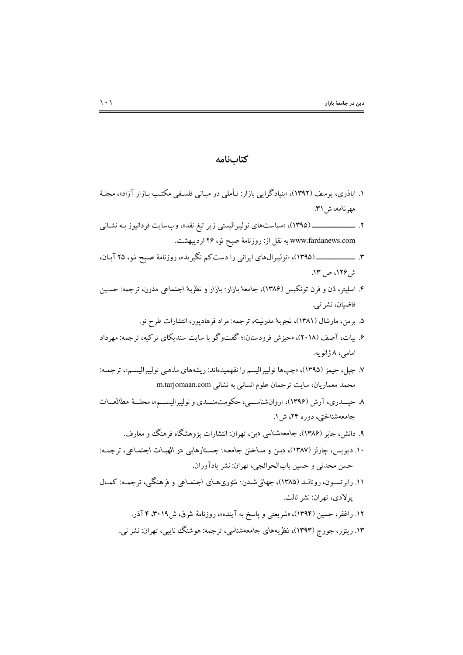۱. اباذری، یوسف (۱۳۹۲)، «بنیادگرایی بازار: تـأملی در مبـانی فلسـفی مکتـب بـازار آزاد»، مجلـهٔ مهرنامه، ش ۳۱. www.fardanews.com به نقل از: روزنامهٔ صبح نو، ۲۶ اردیبهشت. ش ۱۲۶، ص ۱۳. ۴. اسلِیتر، دُن و فرن تونکیس (۱۳۸۶)، جامعهٔ بازار: بازار و نظریهٔ اجتماعی مدرن، ترجمه: حسـین قاضيان، نشر ني. ۵. برمن، مارشال (۱۳۸۱)، تجربهٔ مدرنیته، ترجمه: مراد فرهادیور، انتشارات طرح نو. ۶. بیات، آصف (۲۰۱۸)، «خیزش فرودستان»؛ گفتوگو با سایت سندیکای ترکیه، ترجمه: مهرداد امامي، ٨ ژانو په. ۷. چپل، جیمز (۱۳۹۵)، «چپها نولیبرالیسم را نفهمیدهاند: ریشههای مذهبی نولیبرالیسم»، ترجمـه: محمد معماریان، سایت ترجمان علوم انسانی به نشانی m.tarjomaan.com ۸ حیسدری، آرش (۱۳۹۶)، «روانشناسسی، حکومتمنسدی و نولیبرالیسسم»، مجلسهٔ مطالعسات جامعهشناختي، دوره ۲۴، ش ۱. ۹. دانش، جابر (۱۳۸۶)، جامعهشناسی دین، تهران: انتشارات پژوهشگاه فرهنگ و معارف. ۱۰. دیویس، چارلز (۱۳۸۷)، دیـن و سـاختن جامعـه: جسـتارهایی در الهیـات اجتمـاعی، ترجمـه: حسن محدثي و حسين بابالحوائجي، تهران: نشر يادآوران. ۱۱. رابرتسـون، رونالـد (۱۳۸۵)، جهانیشـدن: تئوریهـای اجتمـاعی و فرهنگی، ترجمـه: کمـال

كتابنامه

- يولادي، تهران: نشر ثالث.
	- ۱۲. راغفر، حسین (۱۳۹۴)، «شریعتی و پاسخ به آینده»، روزنامهٔ شرق، ش۱۹.۳۰ ۴ آذر.
	- ۱۳. ریتزر، جورج (۱۳۹۳)، نظریههای جامعهشناسی، ترجمه: هوشنگ نایبی، تهران: نشر نبی.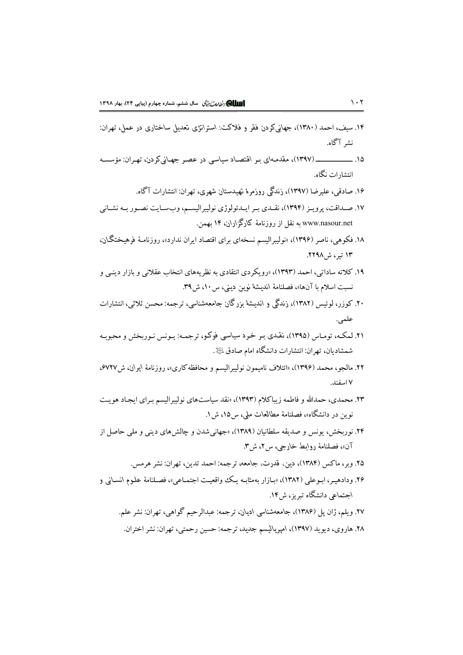- ۱۴. سیف، احمد (۱۳۸۰)، جهانیکم دن فقر و فلاکت: استراتژی تعدیل ساختاری در عمل، تهران: نشر آگاه.
- انتشارات نگاه.
	- ۱۶. صادقی، علیرضا (۱۳۹۷)، زندگی روزمرهٔ تهیدستان شهری، تهران: انتشارات آگاه.
- ١٧. صـداقت، يرويـز (١٣٩۴)، نقـدي بـر ايـدئولوژي نوليبراليســم، وبســايت نصــور بــه نشــاني www.nasour.net به نقل از روزنامهٔ کارگزاران، ۱۴ بهمن.
- ۱۸. فکوهی، ناصر (۱۳۹۶)، «نولیبرالیسم نسخهای برای اقتصاد ایران ندارد»، روزنامـهٔ فرهیـختگـان، ۱۳ تیر، ش ۲۲۹۸.
- ۱۹. کلاته ساداتی، احمد (۱۳۹۳)، «رویکردی انتقادی به نظریههای انتخاب عقلانی و بازار دینبی و نسبت اسلام با آنها»، فصلنامهٔ اندیشهٔ نوین دینی، س ۱۰، ش ۳۹.
- ۲۰. کوزر، لوئیس (۱۳۸۲)، زندگی و اندیشهٔ بزرگان جامعهشناسی، ترجمه: محسن ثلاثی، انتشارات علمي.
- ۲۱. لمکـه، تومـاس (۱۳۹۵)، نقـدي بـر خـرد سياسي فوکـو، ترجمـه: يـونس نـوربخش و محبوبـه شمشاديان، تهران: انتشارات دانشگاه امام صادق ﷺ.
- ۲۲. مالجو، محمد (۱۳۹۶)، «ائتلاف نامیمون نولیبرالیسم و محافظه کاری»، روزنامهٔ ایران، ش۷۲۷\$، ۷ اسفند.
- ۲۳. محمدی، حمدالله و فاطمه زیباکلام (۱۳۹۳)، «نقد سیاستهای نولیبرالیسم بـرای ایجـاد هویـت نوين در دانشگاه»، فصلنامهٔ مطالعات ملي، س۱۵، ش ۱.
- ۲۴. نوربخش، یونس و صدیقه سلطانیان (۱۳۸۹)، «جهانیشدن و چالشهای دینی و ملی حاصل از آن»، فصلنامهٔ روابط خارجی، س ۲، ش۳.
	- ٢۵. وبر، ماكس (١٣٨۴)، دين، قدرت، جامعه، ترجمه: احمد تدين، تهران: نشر هرمس.
- ۲۶. ودادهیـر، ابـوعلی (۱۳۸۲)، «بـازار بهمثابـه یـک واقعیـت اجتمـاعی»، فصـلنامهٔ علـوم انسـانی و اجتماعی دانشگاه تیریز، ش۱۴.
	- ۲۷. ویلم، ژان پل (۱۳۸۶)، جامعهشناسی ادیان، ترجمه: عبدالرحیم گواهی، تهران: نشر علم. ۲۸. هاروي، ديويد (۱۳۹۷)، امپرياليسم جديد، ترجمه: حسين رحمتي، تهران: نشر اختران.